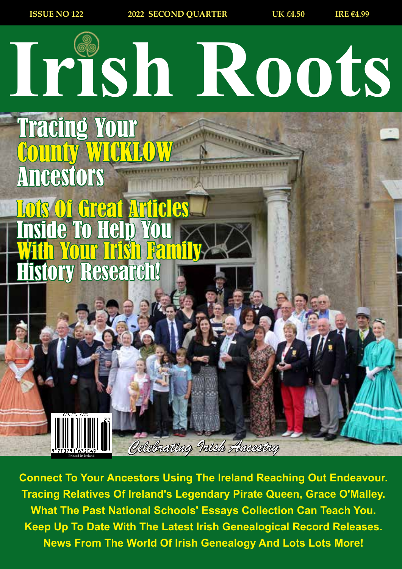

*Celebrating Irish Ancestry* Printed In Ireland

**Connect To Your Ancestors Using The Ireland Reaching Out Endeavour. Tracing Relatives Of Ireland's Legendary Pirate Queen, Grace O'Malley. What The Past National Schools' Essays Collection Can Teach You. Keep Up To Date With The Latest Irish Genealogical Record Releases. News From The World Of Irish Genealogy And Lots Lots More!**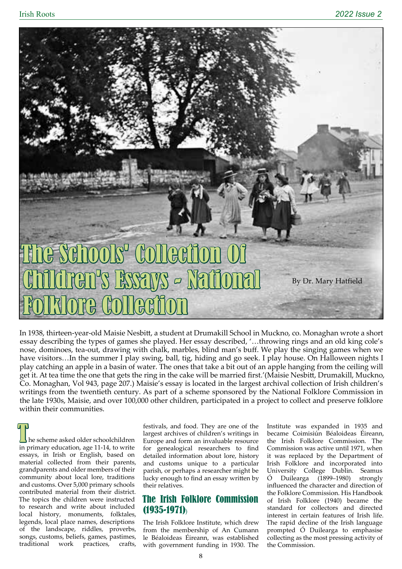

In 1938, thirteen-year-old Maisie Nesbitt, a student at Drumakill School in Muckno, co. Monaghan wrote a short essay describing the types of games she played. Her essay described, '…throwing rings and an old king cole's nose, dominoes, tea-out, drawing with chalk, marbles, blind man's buff. We play the singing games when we have visitors…In the summer I play swing, ball, tig, hiding and go seek. I play house. On Halloween nights I play catching an apple in a basin of water. The ones that take a bit out of an apple hanging from the ceiling will get it. At tea time the one that gets the ring in the cake will be married first.'(Maisie Nesbitt, Drumakill, Muckno, Co. Monaghan, Vol 943, page 207.) Maisie's essay is located in the largest archival collection of Irish children's writings from the twentieth century. As part of a scheme sponsored by the National Folklore Commission in the late 1930s, Maisie, and over 100,000 other children, participated in a project to collect and preserve folklore within their communities.

he scheme asked older schoolchildren in primary education, age 11-14, to write essays, in Irish or English, based on material collected from their parents, grandparents and older members of their community about local lore, traditions and customs. Over 5,000 primary schools contributed material from their district. The topics the children were instructed to research and write about included local history, monuments, folktales, legends, local place names, descriptions of the landscape, riddles, proverbs, songs, customs, beliefs, games, pastimes, traditional work practices, crafts,

festivals, and food. They are one of the largest archives of children's writings in Europe and form an invaluable resource for genealogical researchers to find detailed information about lore, history and customs unique to a particular parish, or perhaps a researcher might be lucky enough to find an essay written by their relatives.

## The Irish Folklore Commission (1935-1971))

The Irish Folklore Institute, which drew from the membership of An Cumann le Béaloideas Éireann, was established with government funding in 1930. The Institute was expanded in 1935 and became Coimisiún Béaloideas Éireann, the Irish Folklore Commission. The Commission was active until 1971, when it was replaced by the Department of Irish Folklore and incorporated into University College Dublin. Seamus Ó Duilearga (1899–1980) strongly influenced the character and direction of the Folklore Commission. His Handbook of Irish Folklore (1940) became the standard for collectors and directed interest in certain features of Irish life. The rapid decline of the Irish language prompted Ó Duilearga to emphasise collecting as the most pressing activity of the Commission.